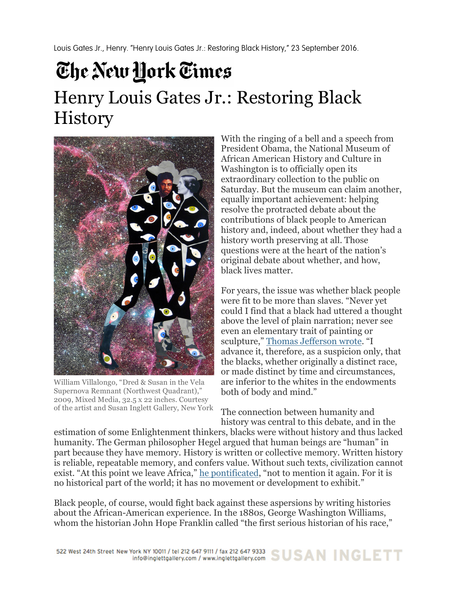## The New York Times Henry Louis Gates Jr.: Restoring Black **History**



William Villalongo, "Dred & Susan in the Vela Supernova Remnant (Northwest Quadrant)," 2009, Mixed Media, 32.5 x 22 inches. Courtesy of the artist and Susan Inglett Gallery, New York

With the ringing of a bell and a speech from President Obama, the National Museum of African American History and Culture in Washington is to officially open its extraordinary collection to the public on Saturday. But the museum can claim another, equally important achievement: helping resolve the protracted debate about the contributions of black people to American history and, indeed, about whether they had a history worth preserving at all. Those questions were at the heart of the nation's original debate about whether, and how, black lives matter.

For years, the issue was whether black people were fit to be more than slaves. "Never yet could I find that a black had uttered a thought above the level of plain narration; never see even an elementary trait of painting or sculpture," Thomas Jefferson wrote. "I advance it, therefore, as a suspicion only, that the blacks, whether originally a distinct race, or made distinct by time and circumstances, are inferior to the whites in the endowments both of body and mind."

The connection between humanity and history was central to this debate, and in the

estimation of some Enlightenment thinkers, blacks were without history and thus lacked humanity. The German philosopher Hegel argued that human beings are "human" in part because they have memory. History is written or collective memory. Written history is reliable, repeatable memory, and confers value. Without such texts, civilization cannot exist. "At this point we leave Africa," he pontificated, "not to mention it again. For it is no historical part of the world; it has no movement or development to exhibit."

Black people, of course, would fight back against these aspersions by writing histories about the African-American experience. In the 1880s, George Washington Williams, whom the historian John Hope Franklin called "the first serious historian of his race,"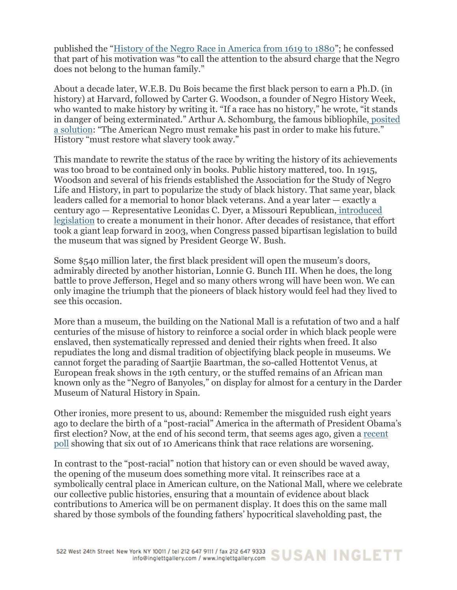published the "History of the Negro Race in America from 1619 to 1880"; he confessed that part of his motivation was "to call the attention to the absurd charge that the Negro does not belong to the human family."

About a decade later, W.E.B. Du Bois became the first black person to earn a Ph.D. (in history) at Harvard, followed by Carter G. Woodson, a founder of Negro History Week, who wanted to make history by writing it. "If a race has no history," he wrote, "it stands in danger of being exterminated." Arthur A. Schomburg, the famous bibliophile, posited a solution: "The American Negro must remake his past in order to make his future." History "must restore what slavery took away."

This mandate to rewrite the status of the race by writing the history of its achievements was too broad to be contained only in books. Public history mattered, too. In 1915, Woodson and several of his friends established the Association for the Study of Negro Life and History, in part to popularize the study of black history. That same year, black leaders called for a memorial to honor black veterans. And a year later — exactly a century ago — Representative Leonidas C. Dyer, a Missouri Republican, introduced legislation to create a monument in their honor. After decades of resistance, that effort took a giant leap forward in 2003, when Congress passed bipartisan legislation to build the museum that was signed by President George W. Bush.

Some \$540 million later, the first black president will open the museum's doors, admirably directed by another historian, Lonnie G. Bunch III. When he does, the long battle to prove Jefferson, Hegel and so many others wrong will have been won. We can only imagine the triumph that the pioneers of black history would feel had they lived to see this occasion.

More than a museum, the building on the National Mall is a refutation of two and a half centuries of the misuse of history to reinforce a social order in which black people were enslaved, then systematically repressed and denied their rights when freed. It also repudiates the long and dismal tradition of objectifying black people in museums. We cannot forget the parading of Saartjie Baartman, the so-called Hottentot Venus, at European freak shows in the 19th century, or the stuffed remains of an African man known only as the "Negro of Banyoles," on display for almost for a century in the Darder Museum of Natural History in Spain.

Other ironies, more present to us, abound: Remember the misguided rush eight years ago to declare the birth of a "post-racial" America in the aftermath of President Obama's first election? Now, at the end of his second term, that seems ages ago, given a recent poll showing that six out of 10 Americans think that race relations are worsening.

In contrast to the "post-racial" notion that history can or even should be waved away, the opening of the museum does something more vital. It reinscribes race at a symbolically central place in American culture, on the National Mall, where we celebrate our collective public histories, ensuring that a mountain of evidence about black contributions to America will be on permanent display. It does this on the same mall shared by those symbols of the founding fathers' hypocritical slaveholding past, the